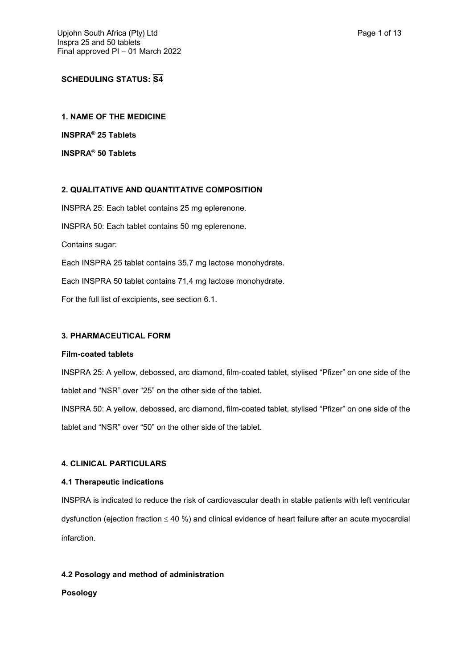# **SCHEDULING STATUS: S4**

**1. NAME OF THE MEDICINE INSPRA® 25 Tablets**

**INSPRA® 50 Tablets**

# **2. QUALITATIVE AND QUANTITATIVE COMPOSITION**

INSPRA 25: Each tablet contains 25 mg eplerenone. INSPRA 50: Each tablet contains 50 mg eplerenone. Contains sugar: Each INSPRA 25 tablet contains 35,7 mg lactose monohydrate. Each INSPRA 50 tablet contains 71,4 mg lactose monohydrate.

For the full list of excipients, see section 6.1.

# **3. PHARMACEUTICAL FORM**

#### **Film-coated tablets**

INSPRA 25: A yellow, debossed, arc diamond, film-coated tablet, stylised "Pfizer" on one side of the tablet and "NSR" over "25" on the other side of the tablet. INSPRA 50: A yellow, debossed, arc diamond, film-coated tablet, stylised "Pfizer" on one side of the tablet and "NSR" over "50" on the other side of the tablet.

## **4. CLINICAL PARTICULARS**

## **4.1 Therapeutic indications**

INSPRA is indicated to reduce the risk of cardiovascular death in stable patients with left ventricular dysfunction (ejection fraction  $\leq 40$  %) and clinical evidence of heart failure after an acute myocardial infarction.

## **4.2 Posology and method of administration**

## **Posology**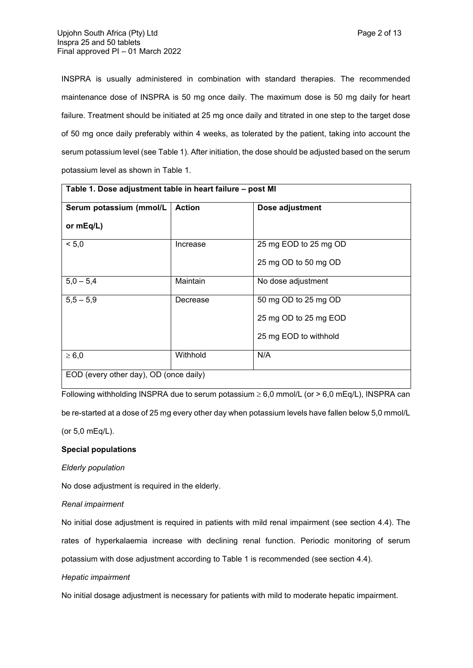INSPRA is usually administered in combination with standard therapies. The recommended maintenance dose of INSPRA is 50 mg once daily. The maximum dose is 50 mg daily for heart failure. Treatment should be initiated at 25 mg once daily and titrated in one step to the target dose of 50 mg once daily preferably within 4 weeks, as tolerated by the patient, taking into account the serum potassium level (see Table 1). After initiation, the dose should be adjusted based on the serum potassium level as shown in Table 1.

| Table 1. Dose adjustment table in heart failure – post MI |               |                       |  |  |
|-----------------------------------------------------------|---------------|-----------------------|--|--|
| Serum potassium (mmol/L                                   | <b>Action</b> | Dose adjustment       |  |  |
| or mEq/L)                                                 |               |                       |  |  |
| < 5.0                                                     | Increase      | 25 mg EOD to 25 mg OD |  |  |
|                                                           |               | 25 mg OD to 50 mg OD  |  |  |
| $5,0 - 5,4$                                               | Maintain      | No dose adjustment    |  |  |
| $5,5 - 5,9$                                               | Decrease      | 50 mg OD to 25 mg OD  |  |  |
|                                                           |               | 25 mg OD to 25 mg EOD |  |  |
|                                                           |               | 25 mg EOD to withhold |  |  |
| $\geq 6,0$                                                | Withhold      | N/A                   |  |  |
| EOD (every other day), OD (once daily)                    |               |                       |  |  |

Following withholding INSPRA due to serum potassium  $\geq 6.0$  mmol/L (or > 6.0 mEq/L), INSPRA can

be re-started at a dose of 25 mg every other day when potassium levels have fallen below 5,0 mmol/L

(or 5,0 mEq/L).

## **Special populations**

## *Elderly population*

No dose adjustment is required in the elderly.

## *Renal impairment*

No initial dose adjustment is required in patients with mild renal impairment (see section 4.4). The rates of hyperkalaemia increase with declining renal function. Periodic monitoring of serum potassium with dose adjustment according to Table 1 is recommended (see section 4.4).

## *Hepatic impairment*

No initial dosage adjustment is necessary for patients with mild to moderate hepatic impairment.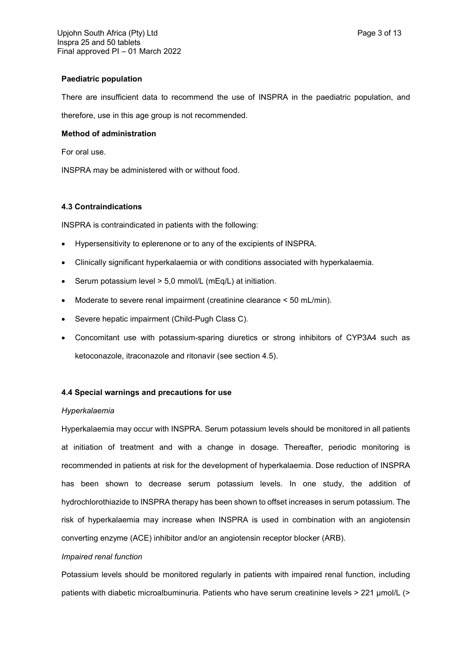## **Paediatric population**

There are insufficient data to recommend the use of INSPRA in the paediatric population, and therefore, use in this age group is not recommended.

# **Method of administration**

For oral use.

INSPRA may be administered with or without food.

# **4.3 Contraindications**

INSPRA is contraindicated in patients with the following:

- Hypersensitivity to eplerenone or to any of the excipients of INSPRA.
- Clinically significant hyperkalaemia or with conditions associated with hyperkalaemia.
- Serum potassium level > 5,0 mmol/L (mEq/L) at initiation.
- Moderate to severe renal impairment (creatinine clearance < 50 mL/min).
- Severe hepatic impairment (Child-Pugh Class C).
- Concomitant use with potassium-sparing diuretics or strong inhibitors of CYP3A4 such as ketoconazole, itraconazole and ritonavir (see section 4.5).

# **4.4 Special warnings and precautions for use**

## *Hyperkalaemia*

Hyperkalaemia may occur with INSPRA. Serum potassium levels should be monitored in all patients at initiation of treatment and with a change in dosage. Thereafter, periodic monitoring is recommended in patients at risk for the development of hyperkalaemia. Dose reduction of INSPRA has been shown to decrease serum potassium levels. In one study, the addition of hydrochlorothiazide to INSPRA therapy has been shown to offset increases in serum potassium. The risk of hyperkalaemia may increase when INSPRA is used in combination with an angiotensin converting enzyme (ACE) inhibitor and/or an angiotensin receptor blocker (ARB).

## *Impaired renal function*

Potassium levels should be monitored regularly in patients with impaired renal function, including patients with diabetic microalbuminuria. Patients who have serum creatinine levels > 221 µmol/L (>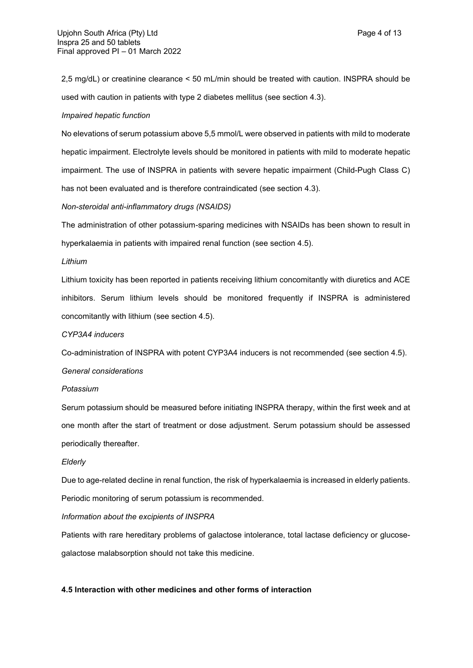2,5 mg/dL) or creatinine clearance < 50 mL/min should be treated with caution. INSPRA should be used with caution in patients with type 2 diabetes mellitus (see section 4.3).

#### *Impaired hepatic function*

No elevations of serum potassium above 5,5 mmol/L were observed in patients with mild to moderate hepatic impairment. Electrolyte levels should be monitored in patients with mild to moderate hepatic impairment. The use of INSPRA in patients with severe hepatic impairment (Child-Pugh Class C) has not been evaluated and is therefore contraindicated (see section 4.3).

## *Non-steroidal anti-inflammatory drugs (NSAIDS)*

The administration of other potassium-sparing medicines with NSAIDs has been shown to result in hyperkalaemia in patients with impaired renal function (see section 4.5).

#### *Lithium*

Lithium toxicity has been reported in patients receiving lithium concomitantly with diuretics and ACE inhibitors. Serum lithium levels should be monitored frequently if INSPRA is administered concomitantly with lithium (see section 4.5).

#### *CYP3A4 inducers*

Co-administration of INSPRA with potent CYP3A4 inducers is not recommended (see section 4.5).

#### *General considerations*

#### *Potassium*

Serum potassium should be measured before initiating INSPRA therapy, within the first week and at one month after the start of treatment or dose adjustment. Serum potassium should be assessed periodically thereafter.

#### *Elderly*

Due to age-related decline in renal function, the risk of hyperkalaemia is increased in elderly patients. Periodic monitoring of serum potassium is recommended.

## *Information about the excipients of INSPRA*

Patients with rare hereditary problems of galactose intolerance, total lactase deficiency or glucosegalactose malabsorption should not take this medicine.

## **4.5 Interaction with other medicines and other forms of interaction**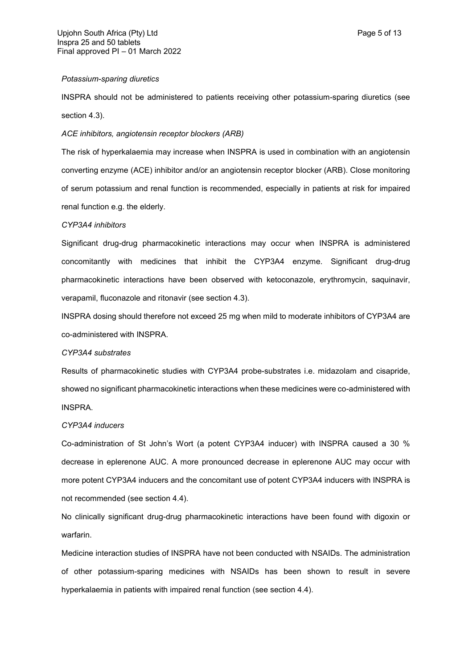## *Potassium-sparing diuretics*

INSPRA should not be administered to patients receiving other potassium-sparing diuretics (see section 4.3).

#### *ACE inhibitors, angiotensin receptor blockers (ARB)*

The risk of hyperkalaemia may increase when INSPRA is used in combination with an angiotensin converting enzyme (ACE) inhibitor and/or an angiotensin receptor blocker (ARB). Close monitoring of serum potassium and renal function is recommended, especially in patients at risk for impaired renal function e.g. the elderly.

#### *CYP3A4 inhibitors*

Significant drug-drug pharmacokinetic interactions may occur when INSPRA is administered concomitantly with medicines that inhibit the CYP3A4 enzyme. Significant drug-drug pharmacokinetic interactions have been observed with ketoconazole, erythromycin, saquinavir, verapamil, fluconazole and ritonavir (see section 4.3).

INSPRA dosing should therefore not exceed 25 mg when mild to moderate inhibitors of CYP3A4 are co-administered with INSPRA.

#### *CYP3A4 substrates*

Results of pharmacokinetic studies with CYP3A4 probe-substrates i.e. midazolam and cisapride, showed no significant pharmacokinetic interactions when these medicines were co-administered with INSPRA.

## *CYP3A4 inducers*

Co-administration of St John's Wort (a potent CYP3A4 inducer) with INSPRA caused a 30 % decrease in eplerenone AUC. A more pronounced decrease in eplerenone AUC may occur with more potent CYP3A4 inducers and the concomitant use of potent CYP3A4 inducers with INSPRA is not recommended (see section 4.4).

No clinically significant drug-drug pharmacokinetic interactions have been found with digoxin or warfarin.

Medicine interaction studies of INSPRA have not been conducted with NSAIDs. The administration of other potassium-sparing medicines with NSAIDs has been shown to result in severe hyperkalaemia in patients with impaired renal function (see section 4.4).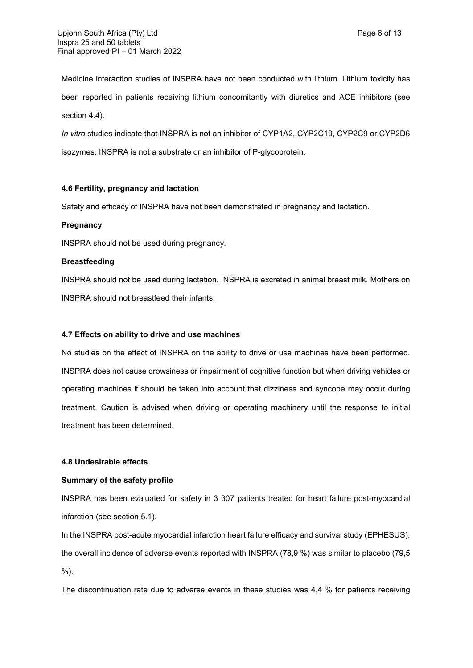Medicine interaction studies of INSPRA have not been conducted with lithium. Lithium toxicity has been reported in patients receiving lithium concomitantly with diuretics and ACE inhibitors (see section 4.4).

*In vitro* studies indicate that INSPRA is not an inhibitor of CYP1A2, CYP2C19, CYP2C9 or CYP2D6 isozymes. INSPRA is not a substrate or an inhibitor of P-glycoprotein.

## **4.6 Fertility, pregnancy and lactation**

Safety and efficacy of INSPRA have not been demonstrated in pregnancy and lactation.

# **Pregnancy**

INSPRA should not be used during pregnancy.

# **Breastfeeding**

INSPRA should not be used during lactation. INSPRA is excreted in animal breast milk. Mothers on INSPRA should not breastfeed their infants.

## **4.7 Effects on ability to drive and use machines**

No studies on the effect of INSPRA on the ability to drive or use machines have been performed. INSPRA does not cause drowsiness or impairment of cognitive function but when driving vehicles or operating machines it should be taken into account that dizziness and syncope may occur during treatment. Caution is advised when driving or operating machinery until the response to initial treatment has been determined.

## **4.8 Undesirable effects**

# **Summary of the safety profile**

INSPRA has been evaluated for safety in 3 307 patients treated for heart failure post-myocardial infarction (see section 5.1).

In the INSPRA post-acute myocardial infarction heart failure efficacy and survival study (EPHESUS), the overall incidence of adverse events reported with INSPRA (78,9 %) was similar to placebo (79,5 %).

The discontinuation rate due to adverse events in these studies was 4,4 % for patients receiving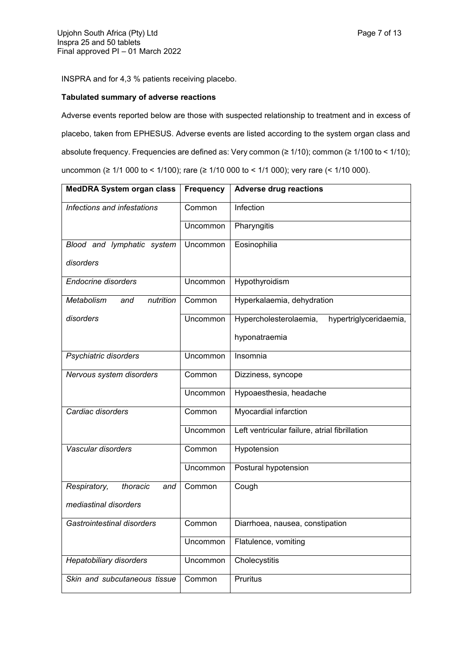INSPRA and for 4,3 % patients receiving placebo.

# **Tabulated summary of adverse reactions**

Adverse events reported below are those with suspected relationship to treatment and in excess of placebo, taken from EPHESUS. Adverse events are listed according to the system organ class and absolute frequency. Frequencies are defined as: Very common (≥ 1/10); common (≥ 1/100 to < 1/10); uncommon (≥ 1/1 000 to < 1/100); rare (≥ 1/10 000 to < 1/1 000); very rare (< 1/10 000).

| <b>MedDRA System organ class</b> | <b>Frequency</b> | <b>Adverse drug reactions</b>                    |
|----------------------------------|------------------|--------------------------------------------------|
| Infections and infestations      | Common           | Infection                                        |
|                                  | Uncommon         | Pharyngitis                                      |
| Blood and lymphatic system       | Uncommon         | Eosinophilia                                     |
| disorders                        |                  |                                                  |
| <b>Endocrine disorders</b>       | Uncommon         | Hypothyroidism                                   |
| Metabolism<br>nutrition<br>and   | Common           | Hyperkalaemia, dehydration                       |
| disorders                        | Uncommon         | Hypercholesterolaemia,<br>hypertriglyceridaemia, |
|                                  |                  | hyponatraemia                                    |
| Psychiatric disorders            | Uncommon         | Insomnia                                         |
| Nervous system disorders         | Common           | Dizziness, syncope                               |
|                                  | Uncommon         | Hypoaesthesia, headache                          |
| Cardiac disorders                | Common           | Myocardial infarction                            |
|                                  | Uncommon         | Left ventricular failure, atrial fibrillation    |
| Vascular disorders               | Common           | Hypotension                                      |
|                                  | Uncommon         | Postural hypotension                             |
| Respiratory,<br>thoracic<br>and  | Common           | Cough                                            |
| mediastinal disorders            |                  |                                                  |
| Gastrointestinal disorders       | Common           | Diarrhoea, nausea, constipation                  |
|                                  | Uncommon         | Flatulence, vomiting                             |
| Hepatobiliary disorders          | Uncommon         | Cholecystitis                                    |
| Skin and subcutaneous tissue     | Common           | Pruritus                                         |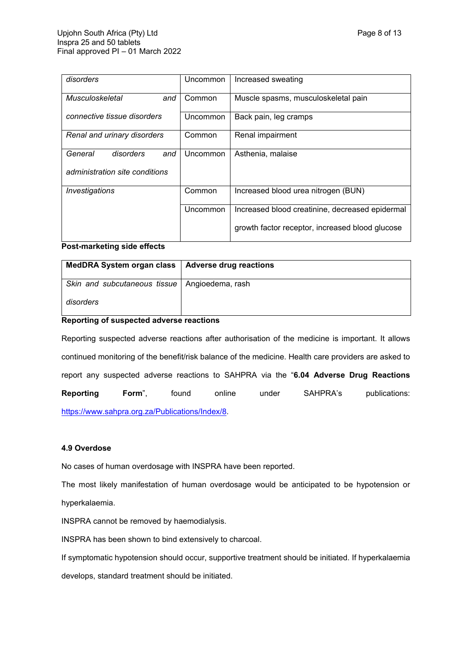| disorders                      | Uncommon | Increased sweating                              |
|--------------------------------|----------|-------------------------------------------------|
| Musculoskeletal<br>and         | Common   | Muscle spasms, musculoskeletal pain             |
| connective tissue disorders    | Uncommon | Back pain, leg cramps                           |
| Renal and urinary disorders    | Common   | Renal impairment                                |
| General<br>disorders<br>and    | Uncommon | Asthenia, malaise                               |
| administration site conditions |          |                                                 |
| Investigations                 | Common   | Increased blood urea nitrogen (BUN)             |
|                                | Uncommon | Increased blood creatinine, decreased epidermal |
|                                |          | growth factor receptor, increased blood glucose |

## **Post-marketing side effects**

| MedDRA System organ class   Adverse drug reactions |  |
|----------------------------------------------------|--|
| Skin and subcutaneous tissue   Angioedema, rash    |  |
| disorders                                          |  |

## **Reporting of suspected adverse reactions**

Reporting suspected adverse reactions after authorisation of the medicine is important. It allows continued monitoring of the benefit/risk balance of the medicine. Health care providers are asked to report any suspected adverse reactions to SAHPRA via the "**6.04 Adverse Drug Reactions Reporting Form**", found online under SAHPRA's publications: <https://www.sahpra.org.za/Publications/Index/8>.

## **4.9 Overdose**

No cases of human overdosage with INSPRA have been reported.

The most likely manifestation of human overdosage would be anticipated to be hypotension or hyperkalaemia.

INSPRA cannot be removed by haemodialysis.

INSPRA has been shown to bind extensively to charcoal.

If symptomatic hypotension should occur, supportive treatment should be initiated. If hyperkalaemia develops, standard treatment should be initiated.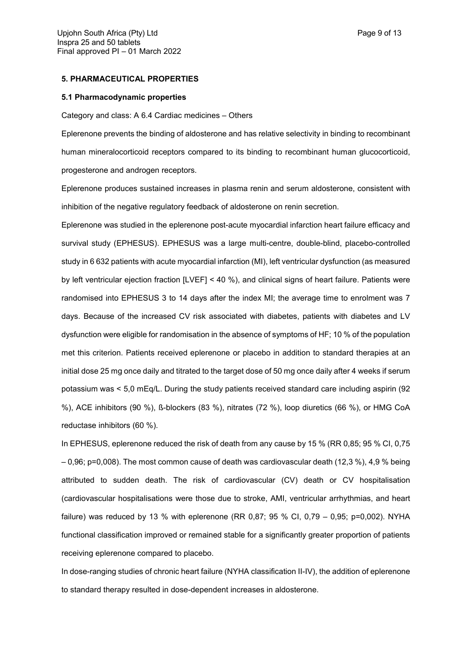#### **5. PHARMACEUTICAL PROPERTIES**

#### **5.1 Pharmacodynamic properties**

Category and class: A 6.4 Cardiac medicines – Others

Eplerenone prevents the binding of aldosterone and has relative selectivity in binding to recombinant human mineralocorticoid receptors compared to its binding to recombinant human glucocorticoid, progesterone and androgen receptors.

Eplerenone produces sustained increases in plasma renin and serum aldosterone, consistent with inhibition of the negative regulatory feedback of aldosterone on renin secretion.

Eplerenone was studied in the eplerenone post-acute myocardial infarction heart failure efficacy and survival study (EPHESUS). EPHESUS was a large multi-centre, double-blind, placebo-controlled study in 6 632 patients with acute myocardial infarction (MI), left ventricular dysfunction (as measured by left ventricular ejection fraction [LVEF] < 40 %), and clinical signs of heart failure. Patients were randomised into EPHESUS 3 to 14 days after the index MI; the average time to enrolment was 7 days. Because of the increased CV risk associated with diabetes, patients with diabetes and LV dysfunction were eligible for randomisation in the absence of symptoms of HF; 10 % of the population met this criterion. Patients received eplerenone or placebo in addition to standard therapies at an initial dose 25 mg once daily and titrated to the target dose of 50 mg once daily after 4 weeks if serum potassium was < 5,0 mEq/L. During the study patients received standard care including aspirin (92 %), ACE inhibitors (90 %), ß-blockers (83 %), nitrates (72 %), loop diuretics (66 %), or HMG CoA reductase inhibitors (60 %).

In EPHESUS, eplerenone reduced the risk of death from any cause by 15 % (RR 0,85; 95 % CI, 0,75 – 0,96; p=0,008). The most common cause of death was cardiovascular death (12,3 %), 4,9 % being attributed to sudden death. The risk of cardiovascular (CV) death or CV hospitalisation (cardiovascular hospitalisations were those due to stroke, AMI, ventricular arrhythmias, and heart failure) was reduced by 13 % with eplerenone (RR 0,87; 95 % CI, 0,79 – 0,95; p=0,002). NYHA functional classification improved or remained stable for a significantly greater proportion of patients receiving eplerenone compared to placebo.

In dose-ranging studies of chronic heart failure (NYHA classification II-IV), the addition of eplerenone to standard therapy resulted in dose-dependent increases in aldosterone.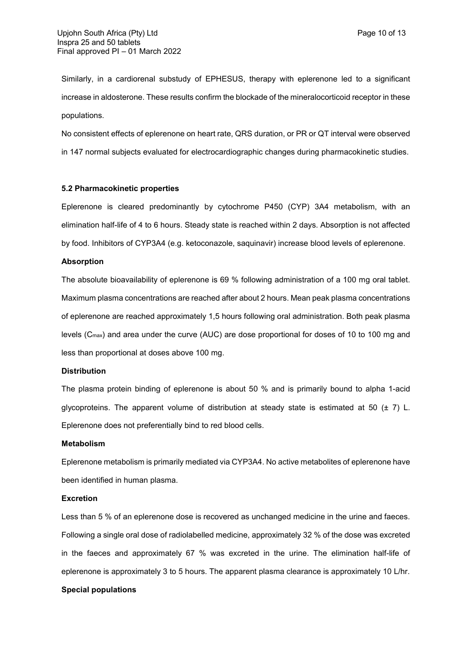Similarly, in a cardiorenal substudy of EPHESUS, therapy with eplerenone led to a significant increase in aldosterone. These results confirm the blockade of the mineralocorticoid receptor in these populations.

No consistent effects of eplerenone on heart rate, QRS duration, or PR or QT interval were observed in 147 normal subjects evaluated for electrocardiographic changes during pharmacokinetic studies.

#### **5.2 Pharmacokinetic properties**

Eplerenone is cleared predominantly by cytochrome P450 (CYP) 3A4 metabolism, with an elimination half-life of 4 to 6 hours. Steady state is reached within 2 days. Absorption is not affected by food. Inhibitors of CYP3A4 (e.g. ketoconazole, saquinavir) increase blood levels of eplerenone.

#### **Absorption**

The absolute bioavailability of eplerenone is 69 % following administration of a 100 mg oral tablet. Maximum plasma concentrations are reached after about 2 hours. Mean peak plasma concentrations of eplerenone are reached approximately 1,5 hours following oral administration. Both peak plasma levels (Cmax) and area under the curve (AUC) are dose proportional for doses of 10 to 100 mg and less than proportional at doses above 100 mg.

#### **Distribution**

The plasma protein binding of eplerenone is about 50 % and is primarily bound to alpha 1-acid glycoproteins. The apparent volume of distribution at steady state is estimated at 50  $(\pm 7)$  L. Eplerenone does not preferentially bind to red blood cells.

#### **Metabolism**

Eplerenone metabolism is primarily mediated via CYP3A4. No active metabolites of eplerenone have been identified in human plasma.

#### **Excretion**

Less than 5 % of an eplerenone dose is recovered as unchanged medicine in the urine and faeces. Following a single oral dose of radiolabelled medicine, approximately 32 % of the dose was excreted in the faeces and approximately 67 % was excreted in the urine. The elimination half-life of eplerenone is approximately 3 to 5 hours. The apparent plasma clearance is approximately 10 L/hr.

# **Special populations**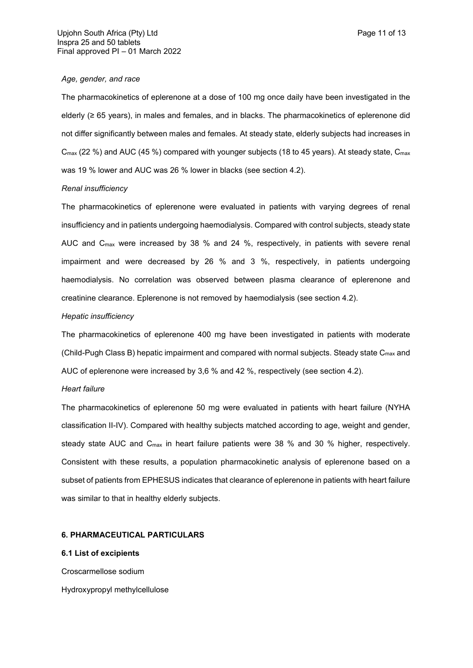#### *Age, gender, and race*

The pharmacokinetics of eplerenone at a dose of 100 mg once daily have been investigated in the elderly (≥ 65 years), in males and females, and in blacks. The pharmacokinetics of eplerenone did not differ significantly between males and females. At steady state, elderly subjects had increases in C<sub>max</sub> (22 %) and AUC (45 %) compared with younger subjects (18 to 45 years). At steady state, C<sub>max</sub> was 19 % lower and AUC was 26 % lower in blacks (see section 4.2).

#### *Renal insufficiency*

The pharmacokinetics of eplerenone were evaluated in patients with varying degrees of renal insufficiency and in patients undergoing haemodialysis. Compared with control subjects, steady state AUC and Cmax were increased by 38 % and 24 %, respectively, in patients with severe renal impairment and were decreased by 26 % and 3 %, respectively, in patients undergoing haemodialysis. No correlation was observed between plasma clearance of eplerenone and creatinine clearance. Eplerenone is not removed by haemodialysis (see section 4.2).

## *Hepatic insufficiency*

The pharmacokinetics of eplerenone 400 mg have been investigated in patients with moderate (Child-Pugh Class B) hepatic impairment and compared with normal subjects. Steady state C<sub>max</sub> and AUC of eplerenone were increased by 3,6 % and 42 %, respectively (see section 4.2).

#### *Heart failure*

The pharmacokinetics of eplerenone 50 mg were evaluated in patients with heart failure (NYHA classification II-IV). Compared with healthy subjects matched according to age, weight and gender, steady state AUC and Cmax in heart failure patients were 38 % and 30 % higher, respectively. Consistent with these results, a population pharmacokinetic analysis of eplerenone based on a subset of patients from EPHESUS indicates that clearance of eplerenone in patients with heart failure was similar to that in healthy elderly subjects.

# **6. PHARMACEUTICAL PARTICULARS**

#### **6.1 List of excipients**

Croscarmellose sodium Hydroxypropyl methylcellulose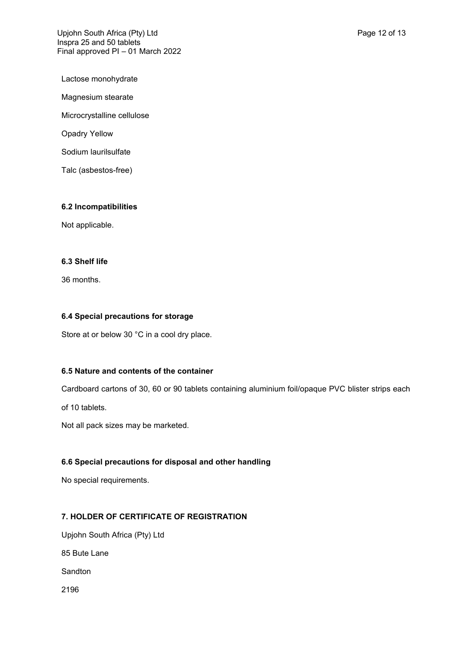Upjohn South Africa (Pty) Ltd **Page 12 of 13** Inspra 25 and 50 tablets Final approved PI – 01 March 2022

Lactose monohydrate

Magnesium stearate

Microcrystalline cellulose

Opadry Yellow

Sodium laurilsulfate

Talc (asbestos-free)

# **6.2 Incompatibilities**

Not applicable.

# **6.3 Shelf life**

36 months.

# **6.4 Special precautions for storage**

Store at or below 30 °C in a cool dry place.

# **6.5 Nature and contents of the container**

Cardboard cartons of 30, 60 or 90 tablets containing aluminium foil/opaque PVC blister strips each

of 10 tablets.

Not all pack sizes may be marketed.

# **6.6 Special precautions for disposal and other handling**

No special requirements.

# **7. HOLDER OF CERTIFICATE OF REGISTRATION**

Upjohn South Africa (Pty) Ltd 85 Bute Lane Sandton 2196